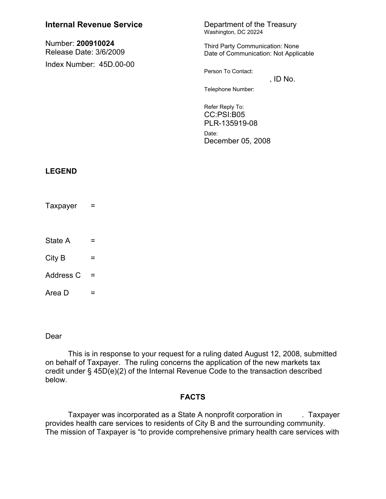| <b>Internal Revenue Service</b>             |          | Department of the Treasury<br>Washington, DC 20224                       |          |
|---------------------------------------------|----------|--------------------------------------------------------------------------|----------|
| Number: 200910024<br>Release Date: 3/6/2009 |          | Third Party Communication: None<br>Date of Communication: Not Applicable |          |
| Index Number: 45D.00-00                     |          | Person To Contact:<br>Telephone Number:<br>Refer Reply To:<br>CC:PSI:B05 | , ID No. |
|                                             |          | PLR-135919-08<br>Date:<br>December 05, 2008                              |          |
| <b>LEGEND</b>                               |          |                                                                          |          |
| Taxpayer                                    | $=$      |                                                                          |          |
| State A                                     | Ξ        |                                                                          |          |
| City B                                      | Ξ        |                                                                          |          |
| Address C                                   | $\equiv$ |                                                                          |          |
| Area D                                      | Ξ        |                                                                          |          |

Dear

This is in response to your request for a ruling dated August 12, 2008, submitted on behalf of Taxpayer. The ruling concerns the application of the new markets tax credit under § 45D(e)(2) of the Internal Revenue Code to the transaction described below.

## **FACTS**

Taxpayer was incorporated as a State A nonprofit corporation in ---------------provides health care services to residents of City B and the surrounding community. The mission of Taxpayer is "to provide comprehensive primary health care services with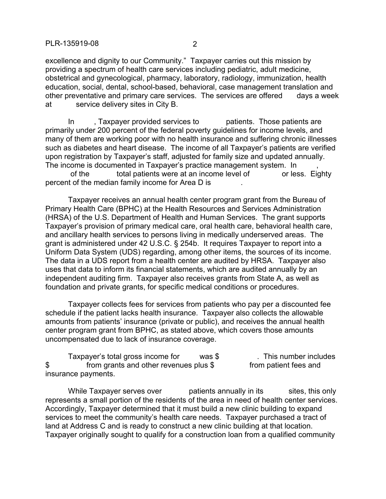excellence and dignity to our Community." Taxpayer carries out this mission by providing a spectrum of health care services including pediatric, adult medicine, obstetrical and gynecological, pharmacy, laboratory, radiology, immunization, health education, social, dental, school-based, behavioral, case management translation and other preventative and primary care services. The services are offered days a week at service delivery sites in City B.

In -------, Taxpayer provided services to --------- patients. Those patients are primarily under 200 percent of the federal poverty guidelines for income levels, and many of them are working poor with no health insurance and suffering chronic illnesses such as diabetes and heart disease. The income of all Taxpayer's patients are verified upon registration by Taxpayer's staff, adjusted for family size and updated annually. The income is documented in Taxpayer's practice management system. In

----------of the ----------total patients were at an income level of ------------or less. Eighty percent of the median family income for Area D is

Taxpayer receives an annual health center program grant from the Bureau of Primary Health Care (BPHC) at the Health Resources and Services Administration (HRSA) of the U.S. Department of Health and Human Services. The grant supports Taxpayer's provision of primary medical care, oral health care, behavioral health care, and ancillary health services to persons living in medically underserved areas. The grant is administered under 42 U.S.C. § 254b. It requires Taxpayer to report into a Uniform Data System (UDS) regarding, among other items, the sources of its income. The data in a UDS report from a health center are audited by HRSA. Taxpayer also uses that data to inform its financial statements, which are audited annually by an independent auditing firm. Taxpayer also receives grants from State A, as well as foundation and private grants, for specific medical conditions or procedures.

Taxpayer collects fees for services from patients who pay per a discounted fee schedule if the patient lacks health insurance. Taxpayer also collects the allowable amounts from patients' insurance (private or public), and receives the annual health center program grant from BPHC, as stated above, which covers those amounts uncompensated due to lack of insurance coverage.

Taxpayer's total gross income for  $\qquad \qquad$  was \$ $\qquad \qquad$  This number includes \$ from grants and other revenues plus \$ from patient fees and insurance payments.

While Taxpayer serves over ----------patients annually in its----------sites, this only represents a small portion of the residents of the area in need of health center services. Accordingly, Taxpayer determined that it must build a new clinic building to expand services to meet the community's health care needs. Taxpayer purchased a tract of land at Address C and is ready to construct a new clinic building at that location. Taxpayer originally sought to qualify for a construction loan from a qualified community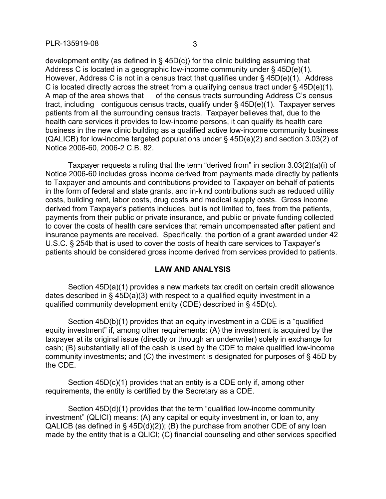development entity (as defined in § 45D(c)) for the clinic building assuming that Address C is located in a geographic low-income community under § 45D(e)(1). However, Address C is not in a census tract that qualifies under § 45D(e)(1). Address C is located directly across the street from a qualifying census tract under § 45D(e)(1). A map of the area shows that  $-$  of the census tracts surrounding Address C's census tract, including contiguous census tracts, qualify under  $\S$  45D(e)(1). Taxpayer serves patients from all the surrounding census tracts. Taxpayer believes that, due to the health care services it provides to low-income persons, it can qualify its health care business in the new clinic building as a qualified active low-income community business (QALICB) for low-income targeted populations under § 45D(e)(2) and section 3.03(2) of Notice 2006-60, 2006-2 C.B. 82.

Taxpayer requests a ruling that the term "derived from" in section 3.03(2)(a)(i) of Notice 2006-60 includes gross income derived from payments made directly by patients to Taxpayer and amounts and contributions provided to Taxpayer on behalf of patients in the form of federal and state grants, and in-kind contributions such as reduced utility costs, building rent, labor costs, drug costs and medical supply costs. Gross income derived from Taxpayer's patients includes, but is not limited to, fees from the patients, payments from their public or private insurance, and public or private funding collected to cover the costs of health care services that remain uncompensated after patient and insurance payments are received. Specifically, the portion of a grant awarded under 42 U.S.C. § 254b that is used to cover the costs of health care services to Taxpayer's patients should be considered gross income derived from services provided to patients.

## **LAW AND ANALYSIS**

Section 45D(a)(1) provides a new markets tax credit on certain credit allowance dates described in § 45D(a)(3) with respect to a qualified equity investment in a qualified community development entity (CDE) described in § 45D(c).

Section 45D(b)(1) provides that an equity investment in a CDE is a "qualified equity investment" if, among other requirements: (A) the investment is acquired by the taxpayer at its original issue (directly or through an underwriter) solely in exchange for cash; (B) substantially all of the cash is used by the CDE to make qualified low-income community investments; and (C) the investment is designated for purposes of § 45D by the CDE.

Section 45D(c)(1) provides that an entity is a CDE only if, among other requirements, the entity is certified by the Secretary as a CDE.

Section 45D(d)(1) provides that the term "qualified low-income community investment" (QLICI) means: (A) any capital or equity investment in, or loan to, any QALICB (as defined in  $\S$  45D(d)(2)); (B) the purchase from another CDE of any loan made by the entity that is a QLICI; (C) financial counseling and other services specified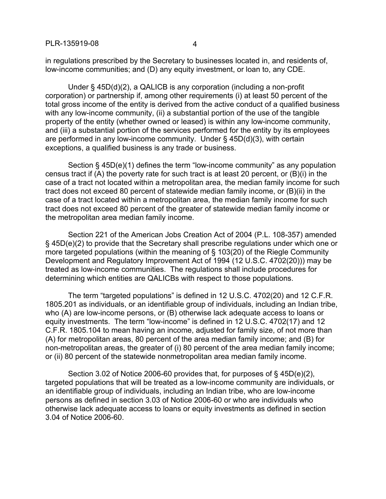in regulations prescribed by the Secretary to businesses located in, and residents of, low-income communities; and (D) any equity investment, or loan to, any CDE.

Under § 45D(d)(2), a QALICB is any corporation (including a non-profit corporation) or partnership if, among other requirements (i) at least 50 percent of the total gross income of the entity is derived from the active conduct of a qualified business with any low-income community, (ii) a substantial portion of the use of the tangible property of the entity (whether owned or leased) is within any low-income community, and (iii) a substantial portion of the services performed for the entity by its employees are performed in any low-income community. Under § 45D(d)(3), with certain exceptions, a qualified business is any trade or business.

Section § 45D(e)(1) defines the term "low-income community" as any population census tract if (A) the poverty rate for such tract is at least 20 percent, or (B)(i) in the case of a tract not located within a metropolitan area, the median family income for such tract does not exceed 80 percent of statewide median family income, or (B)(ii) in the case of a tract located within a metropolitan area, the median family income for such tract does not exceed 80 percent of the greater of statewide median family income or the metropolitan area median family income.

Section 221 of the American Jobs Creation Act of 2004 (P.L. 108-357) amended § 45D(e)(2) to provide that the Secretary shall prescribe regulations under which one or more targeted populations (within the meaning of § 103(20) of the Riegle Community Development and Regulatory Improvement Act of 1994 (12 U.S.C. 4702(20))) may be treated as low-income communities. The regulations shall include procedures for determining which entities are QALICBs with respect to those populations.

The term "targeted populations" is defined in 12 U.S.C. 4702(20) and 12 C.F.R. 1805.201 as individuals, or an identifiable group of individuals, including an Indian tribe, who (A) are low-income persons, or (B) otherwise lack adequate access to loans or equity investments. The term "low-income" is defined in 12 U.S.C. 4702(17) and 12 C.F.R. 1805.104 to mean having an income, adjusted for family size, of not more than (A) for metropolitan areas, 80 percent of the area median family income; and (B) for non-metropolitan areas, the greater of (i) 80 percent of the area median family income; or (ii) 80 percent of the statewide nonmetropolitan area median family income.

Section 3.02 of Notice 2006-60 provides that, for purposes of § 45D(e)(2), targeted populations that will be treated as a low-income community are individuals, or an identifiable group of individuals, including an Indian tribe, who are low-income persons as defined in section 3.03 of Notice 2006-60 or who are individuals who otherwise lack adequate access to loans or equity investments as defined in section 3.04 of Notice 2006-60.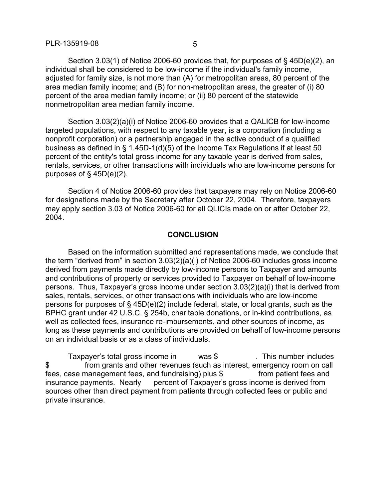Section 3.03(1) of Notice 2006-60 provides that, for purposes of § 45D(e)(2), an individual shall be considered to be low-income if the individual's family income, adjusted for family size, is not more than (A) for metropolitan areas, 80 percent of the area median family income; and (B) for non-metropolitan areas, the greater of (i) 80 percent of the area median family income; or (ii) 80 percent of the statewide nonmetropolitan area median family income.

Section 3.03(2)(a)(i) of Notice 2006-60 provides that a QALICB for low-income targeted populations, with respect to any taxable year, is a corporation (including a nonprofit corporation) or a partnership engaged in the active conduct of a qualified business as defined in § 1.45D-1(d)(5) of the Income Tax Regulations if at least 50 percent of the entity's total gross income for any taxable year is derived from sales, rentals, services, or other transactions with individuals who are low-income persons for purposes of § 45D(e)(2).

Section 4 of Notice 2006-60 provides that taxpayers may rely on Notice 2006-60 for designations made by the Secretary after October 22, 2004. Therefore, taxpayers may apply section 3.03 of Notice 2006-60 for all QLICIs made on or after October 22, 2004.

## **CONCLUSION**

Based on the information submitted and representations made, we conclude that the term "derived from" in section 3.03(2)(a)(i) of Notice 2006-60 includes gross income derived from payments made directly by low-income persons to Taxpayer and amounts and contributions of property or services provided to Taxpayer on behalf of low-income persons. Thus, Taxpayer's gross income under section 3.03(2)(a)(i) that is derived from sales, rentals, services, or other transactions with individuals who are low-income persons for purposes of § 45D(e)(2) include federal, state, or local grants, such as the BPHC grant under 42 U.S.C. § 254b, charitable donations, or in-kind contributions, as well as collected fees, insurance re-imbursements, and other sources of income, as long as these payments and contributions are provided on behalf of low-income persons on an individual basis or as a class of individuals.

Taxpayer's total gross income in  $\blacksquare$  was  $\$\blacksquare$  This number includes \$ from grants and other revenues (such as interest, emergency room on call fees, case management fees, and fundraising) plus  $\frac{1}{2}$  from patient fees and insurance payments. Nearly percent of Taxpayer's gross income is derived from sources other than direct payment from patients through collected fees or public and private insurance.